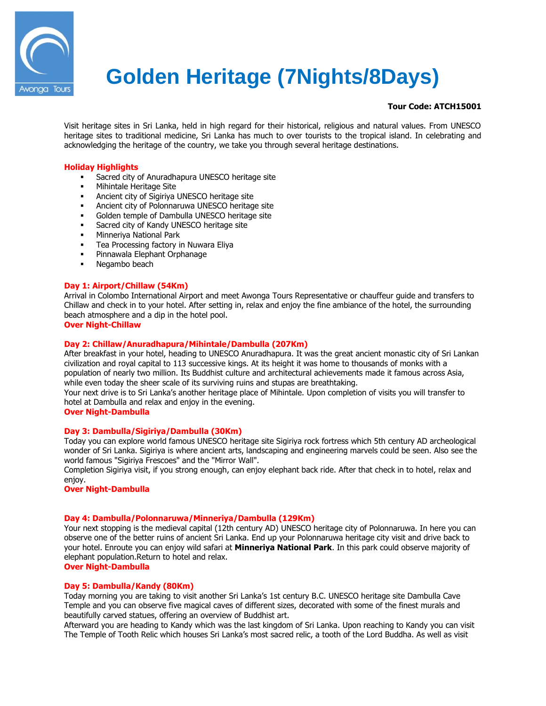

# **Golden Heritage (7Nights/8Days)**

# **Tour Code: ATCH15001**

Visit heritage sites in Sri Lanka, held in high regard for their historical, religious and natural values. From UNESCO heritage sites to traditional medicine, Sri Lanka has much to over tourists to the tropical island. In celebrating and acknowledging the heritage of the country, we take you through several heritage destinations.

# **Holiday Highlights**

- Sacred city of Anuradhapura UNESCO heritage site
- Mihintale Heritage Site
- Ancient city of Sigiriya UNESCO heritage site
- Ancient city of Polonnaruwa UNESCO heritage site
- Golden temple of Dambulla UNESCO heritage site
- **Sacred city of Kandy UNESCO heritage site**
- **Minneriya National Park**
- **Tea Processing factory in Nuwara Eliya**
- **Pinnawala Elephant Orphanage**
- **Negambo beach**

## **Day 1: Airport/Chillaw (54Km)**

Arrival in Colombo International Airport and meet Awonga Tours Representative or chauffeur guide and transfers to Chillaw and check in to your hotel. After setting in, relax and enjoy the fine ambiance of the hotel, the surrounding beach atmosphere and a dip in the hotel pool.

# **Over Night-Chillaw**

# **Day 2: Chillaw/Anuradhapura/Mihintale/Dambulla (207Km)**

After breakfast in your hotel, heading to UNESCO Anuradhapura. It was the great ancient monastic city of Sri Lankan civilization and royal capital to 113 successive kings. At its height it was home to thousands of monks with a population of nearly two million. Its Buddhist culture and architectural achievements made it famous across Asia, while even today the sheer scale of its surviving ruins and stupas are breathtaking.

Your next drive is to Sri Lanka's another heritage place of Mihintale. Upon completion of visits you will transfer to hotel at Dambulla and relax and enjoy in the evening.

#### **Over Night-Dambulla**

# **Day 3: Dambulla/Sigiriya/Dambulla (30Km)**

Today you can explore world famous UNESCO heritage site Sigiriya rock fortress which 5th century AD archeological wonder of Sri Lanka. Sigiriya is where ancient arts, landscaping and engineering marvels could be seen. Also see the world famous "Sigiriya Frescoes" and the "Mirror Wall".

Completion Sigiriya visit, if you strong enough, can enjoy elephant back ride. After that check in to hotel, relax and enjoy.

**Over Night-Dambulla**

#### **Day 4: Dambulla/Polonnaruwa/Minneriya/Dambulla (129Km)**

Your next stopping is the medieval capital (12th century AD) UNESCO heritage city of Polonnaruwa. In here you can observe one of the better ruins of ancient Sri Lanka. End up your Polonnaruwa heritage city visit and drive back to your hotel. Enroute you can enjoy wild safari at **Minneriya National Park**. In this park could observe majority of elephant population.Return to hotel and relax.

# **Over Night-Dambulla**

## **Day 5: Dambulla/Kandy (80Km)**

Today morning you are taking to visit another Sri Lanka's 1st century B.C. UNESCO heritage site Dambulla Cave Temple and you can observe five magical caves of different sizes, decorated with some of the finest murals and beautifully carved statues, offering an overview of Buddhist art.

Afterward you are heading to Kandy which was the last kingdom of Sri Lanka. Upon reaching to Kandy you can visit The Temple of Tooth Relic which houses Sri Lanka's most sacred relic, a tooth of the Lord Buddha. As well as visit